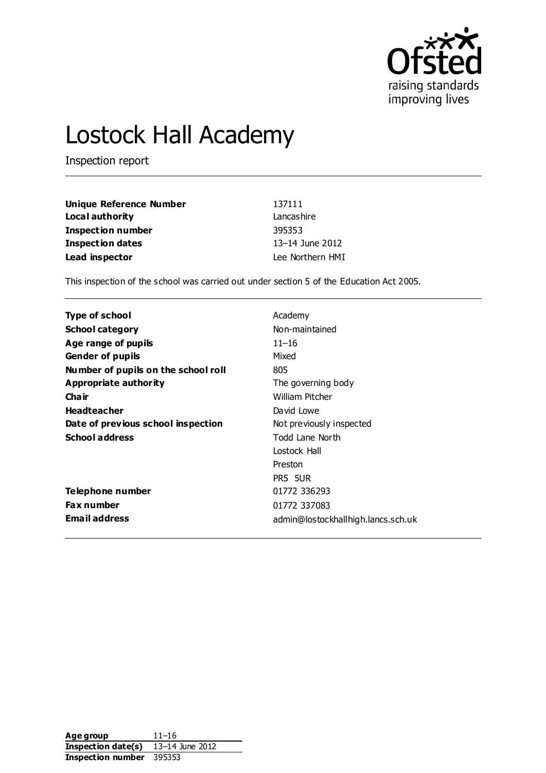

# Lostock Hall Academy

Inspection report

| Unique Reference Number  | 137111           |
|--------------------------|------------------|
| Local authority          | Lancashire       |
| <b>Inspection number</b> | 395353           |
| <b>Inspection dates</b>  | 13-14 June 2012  |
| Lead inspector           | Lee Northern HMI |

This inspection of the school was carried out under section 5 of the Education Act 2005.

| Type of school                      | Academy                            |
|-------------------------------------|------------------------------------|
| <b>School category</b>              | Non-maintained                     |
| Age range of pupils                 | $11 - 16$                          |
| <b>Gender of pupils</b>             | Mixed                              |
| Number of pupils on the school roll | 805                                |
| Appropriate authority               | The governing body                 |
| Cha ir                              | William Pitcher                    |
| <b>Headteacher</b>                  | David Lowe                         |
| Date of previous school inspection  | Not previously inspected           |
| <b>School address</b>               | Todd Lane North                    |
|                                     | Lostock Hall                       |
|                                     | Preston                            |
|                                     | PR5 5UR                            |
| Telephone number                    | 01772 336293                       |
| <b>Fax number</b>                   | 01772 337083                       |
| Email address                       | admin@lostockhallhigh.lancs.sch.uk |

| Age group          | $11 - 16$       |
|--------------------|-----------------|
| Inspection date(s) | 13–14 June 2012 |
| Inspection number  | 395353          |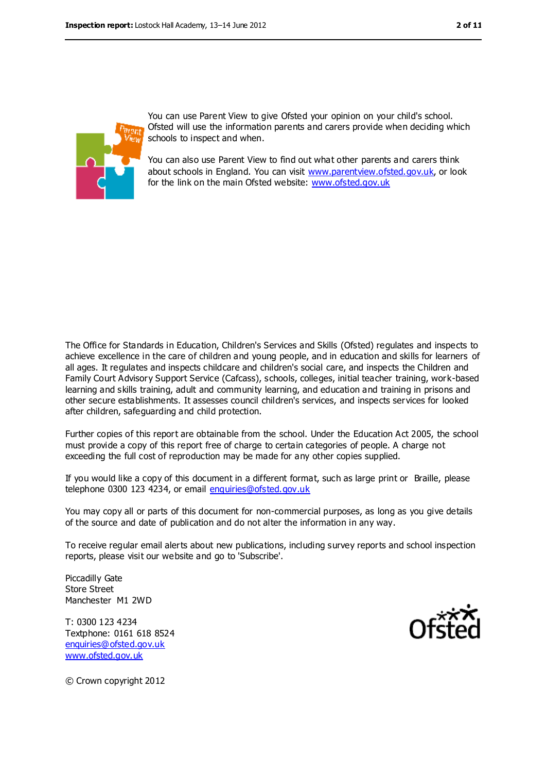

You can use Parent View to give Ofsted your opinion on your child's school. Ofsted will use the information parents and carers provide when deciding which schools to inspect and when.

You can also use Parent View to find out what other parents and carers think about schools in England. You can visit [www.parentview.ofsted.gov.uk,](../../../../lnorthern/AppData/Local/Microsoft/lnorthern/AppData/Local/Microsoft/lnorthern/AppData/Local/Microsoft/Windows/Temporary%20Internet%20Files/Content.IE5/QOIJOKAK/www.parentview.ofsted.gov.uk) or look for the link on the main Ofsted website: [www.ofsted.gov.uk](../../../../lnorthern/AppData/Local/Microsoft/lnorthern/AppData/Local/Microsoft/lnorthern/AppData/Local/Microsoft/Windows/Temporary%20Internet%20Files/Content.IE5/QOIJOKAK/www.ofsted.gov.uk)

The Office for Standards in Education, Children's Services and Skills (Ofsted) regulates and inspects to achieve excellence in the care of children and young people, and in education and skills for learners of all ages. It regulates and inspects childcare and children's social care, and inspects the Children and Family Court Advisory Support Service (Cafcass), schools, colleges, initial teacher training, work-based learning and skills training, adult and community learning, and education and training in prisons and other secure establishments. It assesses council children's services, and inspects services for looked after children, safeguarding and child protection.

Further copies of this report are obtainable from the school. Under the Education Act 2005, the school must provide a copy of this report free of charge to certain categories of people. A charge not exceeding the full cost of reproduction may be made for any other copies supplied.

If you would like a copy of this document in a different format, such as large print or Braille, please telephone 0300 123 4234, or email [enquiries@ofsted.gov.uk](mailto:enquiries@ofsted.gov.uk)

You may copy all or parts of this document for non-commercial purposes, as long as you give details of the source and date of publication and do not alter the information in any way.

To receive regular email alerts about new publications, including survey reports and school inspection reports, please visit our website and go to 'Subscribe'.

Piccadilly Gate Store Street Manchester M1 2WD

T: 0300 123 4234 Textphone: 0161 618 8524 [enquiries@ofsted.gov.uk](mailto:enquiries@ofsted.gov.uk) [www.ofsted.gov.uk](http://www.ofsted.gov.uk/)



© Crown copyright 2012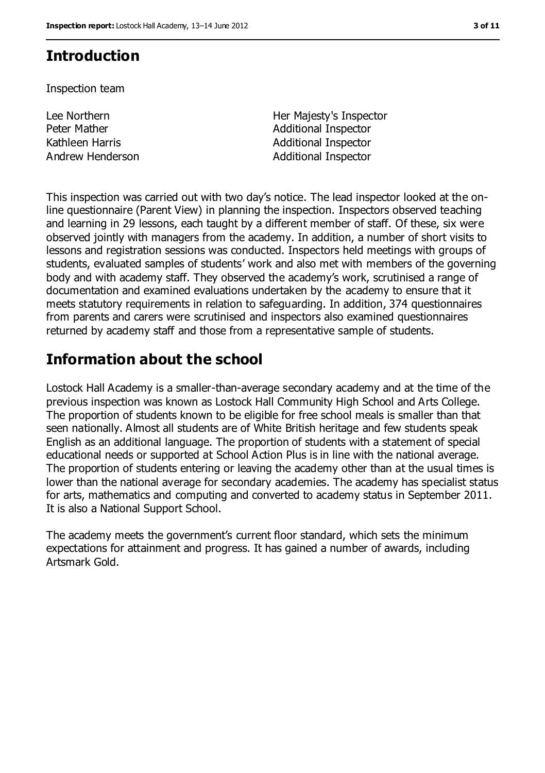## **Introduction**

Inspection team

Lee Northern Peter Mather

Her Majesty's Inspector Additional Inspector Kathleen Harris **Additional Inspector** Andrew Henderson **Additional Inspector** 

This inspection was carried out with two day's notice. The lead inspector looked at the online questionnaire (Parent View) in planning the inspection. Inspectors observed teaching and learning in 29 lessons, each taught by a different member of staff. Of these, six were observed jointly with managers from the academy. In addition, a number of short visits to lessons and registration sessions was conducted. Inspectors held meetings with groups of students, evaluated samples of students' work and also met with members of the governing body and with academy staff. They observed the academy's work, scrutinised a range of documentation and examined evaluations undertaken by the academy to ensure that it meets statutory requirements in relation to safeguarding. In addition, 374 questionnaires from parents and carers were scrutinised and inspectors also examined questionnaires returned by academy staff and those from a representative sample of students.

# **Information about the school**

Lostock Hall Academy is a smaller-than-average secondary academy and at the time of the previous inspection was known as Lostock Hall Community High School and Arts College. The proportion of students known to be eligible for free school meals is smaller than that seen nationally. Almost all students are of White British heritage and few students speak English as an additional language. The proportion of students with a statement of special educational needs or supported at School Action Plus is in line with the national average. The proportion of students entering or leaving the academy other than at the usual times is lower than the national average for secondary academies. The academy has specialist status for arts, mathematics and computing and converted to academy status in September 2011. It is also a National Support School.

The academy meets the government's current floor standard, which sets the minimum expectations for attainment and progress. It has gained a number of awards, including Artsmark Gold.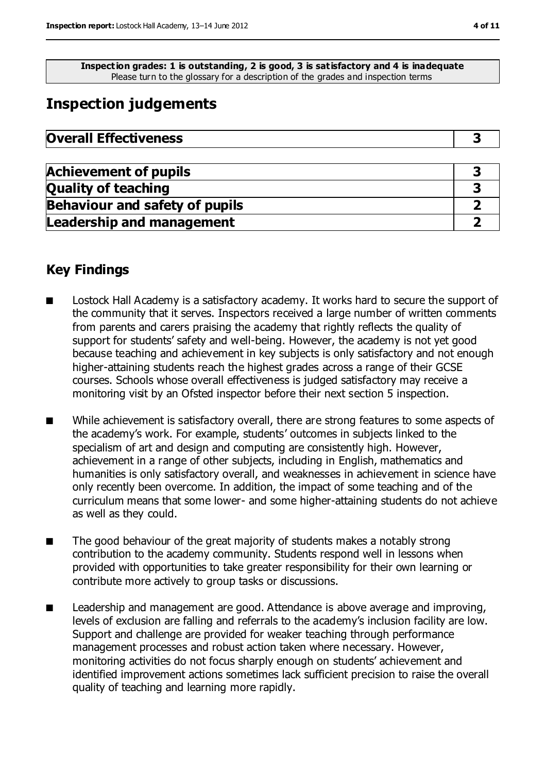**Inspection grades: 1 is outstanding, 2 is good, 3 is satisfactory and 4 is inadequate** Please turn to the glossary for a description of the grades and inspection terms

# **Inspection judgements**

| <b>Overall Effectiveness</b> |  |
|------------------------------|--|
|------------------------------|--|

| <b>Achievement of pupils</b>          |  |
|---------------------------------------|--|
| <b>Quality of teaching</b>            |  |
| <b>Behaviour and safety of pupils</b> |  |
| <b>Leadership and management</b>      |  |

## **Key Findings**

- Lostock Hall Academy is a satisfactory academy. It works hard to secure the support of the community that it serves. Inspectors received a large number of written comments from parents and carers praising the academy that rightly reflects the quality of support for students' safety and well-being. However, the academy is not yet good because teaching and achievement in key subjects is only satisfactory and not enough higher-attaining students reach the highest grades across a range of their GCSE courses. Schools whose overall effectiveness is judged satisfactory may receive a monitoring visit by an Ofsted inspector before their next section 5 inspection.
- While achievement is satisfactory overall, there are strong features to some aspects of the academy's work. For example, students' outcomes in subjects linked to the specialism of art and design and computing are consistently high. However, achievement in a range of other subjects, including in English, mathematics and humanities is only satisfactory overall, and weaknesses in achievement in science have only recently been overcome. In addition, the impact of some teaching and of the curriculum means that some lower- and some higher-attaining students do not achieve as well as they could.
- The good behaviour of the great majority of students makes a notably strong contribution to the academy community. Students respond well in lessons when provided with opportunities to take greater responsibility for their own learning or contribute more actively to group tasks or discussions.
- Leadership and management are good. Attendance is above average and improving, levels of exclusion are falling and referrals to the academy's inclusion facility are low. Support and challenge are provided for weaker teaching through performance management processes and robust action taken where necessary. However, monitoring activities do not focus sharply enough on students' achievement and identified improvement actions sometimes lack sufficient precision to raise the overall quality of teaching and learning more rapidly.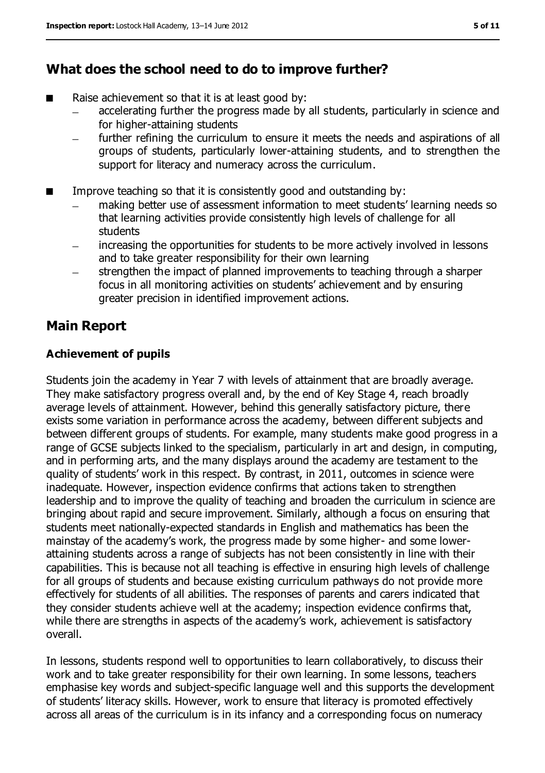### **What does the school need to do to improve further?**

- Raise achievement so that it is at least good by:
	- accelerating further the progress made by all students, particularly in science and for higher-attaining students
	- further refining the curriculum to ensure it meets the needs and aspirations of all groups of students, particularly lower-attaining students, and to strengthen the support for literacy and numeracy across the curriculum.
- Improve teaching so that it is consistently good and outstanding by:
	- making better use of assessment information to meet students' learning needs so that learning activities provide consistently high levels of challenge for all **students**
	- increasing the opportunities for students to be more actively involved in lessons and to take greater responsibility for their own learning
	- strengthen the impact of planned improvements to teaching through a sharper focus in all monitoring activities on students' achievement and by ensuring greater precision in identified improvement actions.

## **Main Report**

#### **Achievement of pupils**

Students join the academy in Year 7 with levels of attainment that are broadly average. They make satisfactory progress overall and, by the end of Key Stage 4, reach broadly average levels of attainment. However, behind this generally satisfactory picture, there exists some variation in performance across the academy, between different subjects and between different groups of students. For example, many students make good progress in a range of GCSE subjects linked to the specialism, particularly in art and design, in computing, and in performing arts, and the many displays around the academy are testament to the quality of students' work in this respect. By contrast, in 2011, outcomes in science were inadequate. However, inspection evidence confirms that actions taken to strengthen leadership and to improve the quality of teaching and broaden the curriculum in science are bringing about rapid and secure improvement. Similarly, although a focus on ensuring that students meet nationally-expected standards in English and mathematics has been the mainstay of the academy's work, the progress made by some higher- and some lowerattaining students across a range of subjects has not been consistently in line with their capabilities. This is because not all teaching is effective in ensuring high levels of challenge for all groups of students and because existing curriculum pathways do not provide more effectively for students of all abilities. The responses of parents and carers indicated that they consider students achieve well at the academy; inspection evidence confirms that, while there are strengths in aspects of the academy's work, achievement is satisfactory overall.

In lessons, students respond well to opportunities to learn collaboratively, to discuss their work and to take greater responsibility for their own learning. In some lessons, teachers emphasise key words and subject-specific language well and this supports the development of students' literacy skills. However, work to ensure that literacy is promoted effectively across all areas of the curriculum is in its infancy and a corresponding focus on numeracy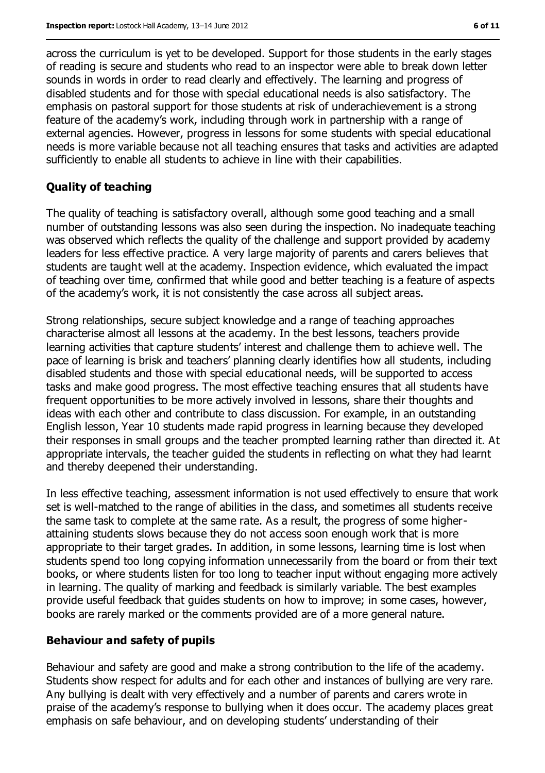across the curriculum is yet to be developed. Support for those students in the early stages of reading is secure and students who read to an inspector were able to break down letter sounds in words in order to read clearly and effectively. The learning and progress of disabled students and for those with special educational needs is also satisfactory. The emphasis on pastoral support for those students at risk of underachievement is a strong feature of the academy's work, including through work in partnership with a range of external agencies. However, progress in lessons for some students with special educational needs is more variable because not all teaching ensures that tasks and activities are adapted sufficiently to enable all students to achieve in line with their capabilities.

#### **Quality of teaching**

The quality of teaching is satisfactory overall, although some good teaching and a small number of outstanding lessons was also seen during the inspection. No inadequate teaching was observed which reflects the quality of the challenge and support provided by academy leaders for less effective practice. A very large majority of parents and carers believes that students are taught well at the academy. Inspection evidence, which evaluated the impact of teaching over time, confirmed that while good and better teaching is a feature of aspects of the academy's work, it is not consistently the case across all subject areas.

Strong relationships, secure subject knowledge and a range of teaching approaches characterise almost all lessons at the academy. In the best lessons, teachers provide learning activities that capture students' interest and challenge them to achieve well. The pace of learning is brisk and teachers' planning clearly identifies how all students, including disabled students and those with special educational needs, will be supported to access tasks and make good progress. The most effective teaching ensures that all students have frequent opportunities to be more actively involved in lessons, share their thoughts and ideas with each other and contribute to class discussion. For example, in an outstanding English lesson, Year 10 students made rapid progress in learning because they developed their responses in small groups and the teacher prompted learning rather than directed it. At appropriate intervals, the teacher guided the students in reflecting on what they had learnt and thereby deepened their understanding.

In less effective teaching, assessment information is not used effectively to ensure that work set is well-matched to the range of abilities in the class, and sometimes all students receive the same task to complete at the same rate. As a result, the progress of some higherattaining students slows because they do not access soon enough work that is more appropriate to their target grades. In addition, in some lessons, learning time is lost when students spend too long copying information unnecessarily from the board or from their text books, or where students listen for too long to teacher input without engaging more actively in learning. The quality of marking and feedback is similarly variable. The best examples provide useful feedback that guides students on how to improve; in some cases, however, books are rarely marked or the comments provided are of a more general nature.

#### **Behaviour and safety of pupils**

Behaviour and safety are good and make a strong contribution to the life of the academy. Students show respect for adults and for each other and instances of bullying are very rare. Any bullying is dealt with very effectively and a number of parents and carers wrote in praise of the academy's response to bullying when it does occur. The academy places great emphasis on safe behaviour, and on developing students' understanding of their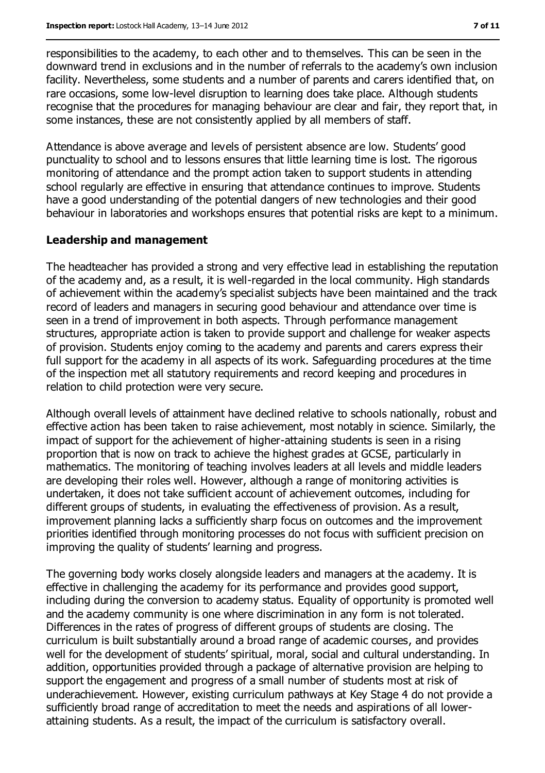responsibilities to the academy, to each other and to themselves. This can be seen in the downward trend in exclusions and in the number of referrals to the academy's own inclusion facility. Nevertheless, some students and a number of parents and carers identified that, on rare occasions, some low-level disruption to learning does take place. Although students recognise that the procedures for managing behaviour are clear and fair, they report that, in some instances, these are not consistently applied by all members of staff.

Attendance is above average and levels of persistent absence are low. Students' good punctuality to school and to lessons ensures that little learning time is lost. The rigorous monitoring of attendance and the prompt action taken to support students in attending school regularly are effective in ensuring that attendance continues to improve. Students have a good understanding of the potential dangers of new technologies and their good behaviour in laboratories and workshops ensures that potential risks are kept to a minimum.

#### **Leadership and management**

The headteacher has provided a strong and very effective lead in establishing the reputation of the academy and, as a result, it is well-regarded in the local community. High standards of achievement within the academy's specialist subjects have been maintained and the track record of leaders and managers in securing good behaviour and attendance over time is seen in a trend of improvement in both aspects. Through performance management structures, appropriate action is taken to provide support and challenge for weaker aspects of provision. Students enjoy coming to the academy and parents and carers express their full support for the academy in all aspects of its work. Safeguarding procedures at the time of the inspection met all statutory requirements and record keeping and procedures in relation to child protection were very secure.

Although overall levels of attainment have declined relative to schools nationally, robust and effective action has been taken to raise achievement, most notably in science. Similarly, the impact of support for the achievement of higher-attaining students is seen in a rising proportion that is now on track to achieve the highest grades at GCSE, particularly in mathematics. The monitoring of teaching involves leaders at all levels and middle leaders are developing their roles well. However, although a range of monitoring activities is undertaken, it does not take sufficient account of achievement outcomes, including for different groups of students, in evaluating the effectiveness of provision. As a result, improvement planning lacks a sufficiently sharp focus on outcomes and the improvement priorities identified through monitoring processes do not focus with sufficient precision on improving the quality of students' learning and progress.

The governing body works closely alongside leaders and managers at the academy. It is effective in challenging the academy for its performance and provides good support, including during the conversion to academy status. Equality of opportunity is promoted well and the academy community is one where discrimination in any form is not tolerated. Differences in the rates of progress of different groups of students are closing. The curriculum is built substantially around a broad range of academic courses, and provides well for the development of students' spiritual, moral, social and cultural understanding. In addition, opportunities provided through a package of alternative provision are helping to support the engagement and progress of a small number of students most at risk of underachievement. However, existing curriculum pathways at Key Stage 4 do not provide a sufficiently broad range of accreditation to meet the needs and aspirations of all lowerattaining students. As a result, the impact of the curriculum is satisfactory overall.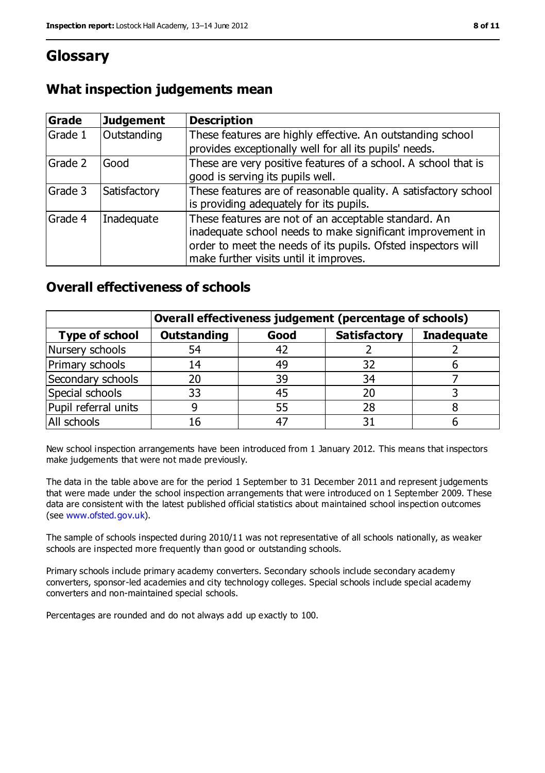## **Glossary**

| What inspection judgements mean |  |  |
|---------------------------------|--|--|
|---------------------------------|--|--|

| Grade   | <b>Judgement</b> | <b>Description</b>                                                                                                                                                                                                            |  |
|---------|------------------|-------------------------------------------------------------------------------------------------------------------------------------------------------------------------------------------------------------------------------|--|
| Grade 1 | Outstanding      | These features are highly effective. An outstanding school<br>provides exceptionally well for all its pupils' needs.                                                                                                          |  |
| Grade 2 | Good             | These are very positive features of a school. A school that is<br>good is serving its pupils well.                                                                                                                            |  |
| Grade 3 | Satisfactory     | These features are of reasonable quality. A satisfactory school<br>is providing adequately for its pupils.                                                                                                                    |  |
| Grade 4 | Inadequate       | These features are not of an acceptable standard. An<br>inadequate school needs to make significant improvement in<br>order to meet the needs of its pupils. Ofsted inspectors will<br>make further visits until it improves. |  |

## **Overall effectiveness of schools**

|                       | Overall effectiveness judgement (percentage of schools) |      |                     |                   |
|-----------------------|---------------------------------------------------------|------|---------------------|-------------------|
| <b>Type of school</b> | <b>Outstanding</b>                                      | Good | <b>Satisfactory</b> | <b>Inadequate</b> |
| Nursery schools       | 54                                                      | 42   |                     |                   |
| Primary schools       | 14                                                      | 49   | 32                  |                   |
| Secondary schools     | 20                                                      | 39   | 34                  |                   |
| Special schools       | 33                                                      | 45   | 20                  |                   |
| Pupil referral units  | 9                                                       | 55   | 28                  |                   |
| All schools           | 16                                                      |      |                     |                   |

New school inspection arrangements have been introduced from 1 January 2012. This means that inspectors make judgements that were not made previously.

The data in the table above are for the period 1 September to 31 December 2011 and represent judgements that were made under the school inspection arrangements that were introduced on 1 September 2009. These data are consistent with the latest published official statistics about maintained school inspection outcomes (see [www.ofsted.gov.uk\)](../../../../lnorthern/AppData/Local/Microsoft/lnorthern/AppData/Local/Microsoft/lnorthern/AppData/Local/Microsoft/Windows/Temporary%20Internet%20Files/Content.IE5/QOIJOKAK/www.ofsted.gov.uk).

The sample of schools inspected during 2010/11 was not representative of all schools nationally, as weaker schools are inspected more frequently than good or outstanding schools.

Primary schools include primary academy converters. Secondary schools include secondary academy converters, sponsor-led academies and city technology colleges. Special schools include special academy converters and non-maintained special schools.

Percentages are rounded and do not always add up exactly to 100.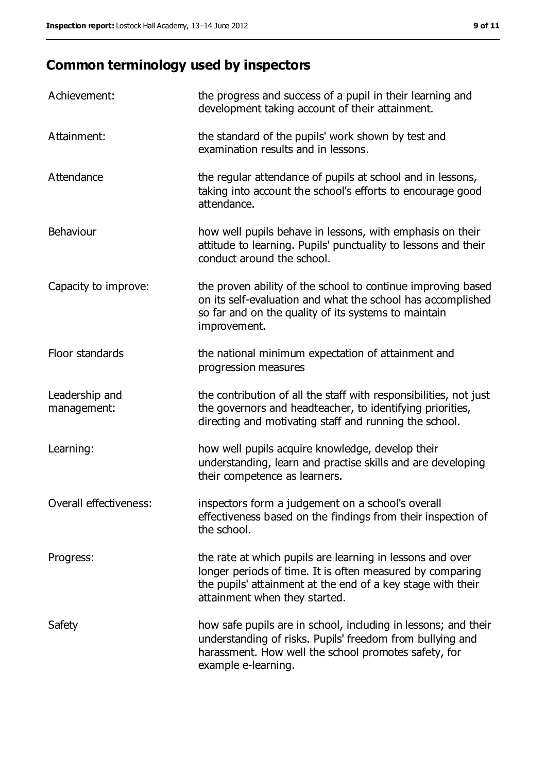# **Common terminology used by inspectors**

| Achievement:                  | the progress and success of a pupil in their learning and<br>development taking account of their attainment.                                                                                                           |
|-------------------------------|------------------------------------------------------------------------------------------------------------------------------------------------------------------------------------------------------------------------|
| Attainment:                   | the standard of the pupils' work shown by test and<br>examination results and in lessons.                                                                                                                              |
| Attendance                    | the regular attendance of pupils at school and in lessons,<br>taking into account the school's efforts to encourage good<br>attendance.                                                                                |
| Behaviour                     | how well pupils behave in lessons, with emphasis on their<br>attitude to learning. Pupils' punctuality to lessons and their<br>conduct around the school.                                                              |
| Capacity to improve:          | the proven ability of the school to continue improving based<br>on its self-evaluation and what the school has accomplished<br>so far and on the quality of its systems to maintain<br>improvement.                    |
| Floor standards               | the national minimum expectation of attainment and<br>progression measures                                                                                                                                             |
| Leadership and<br>management: | the contribution of all the staff with responsibilities, not just<br>the governors and headteacher, to identifying priorities,<br>directing and motivating staff and running the school.                               |
| Learning:                     | how well pupils acquire knowledge, develop their<br>understanding, learn and practise skills and are developing<br>their competence as learners.                                                                       |
| Overall effectiveness:        | inspectors form a judgement on a school's overall<br>effectiveness based on the findings from their inspection of<br>the school.                                                                                       |
| Progress:                     | the rate at which pupils are learning in lessons and over<br>longer periods of time. It is often measured by comparing<br>the pupils' attainment at the end of a key stage with their<br>attainment when they started. |
| Safety                        | how safe pupils are in school, including in lessons; and their<br>understanding of risks. Pupils' freedom from bullying and<br>harassment. How well the school promotes safety, for<br>example e-learning.             |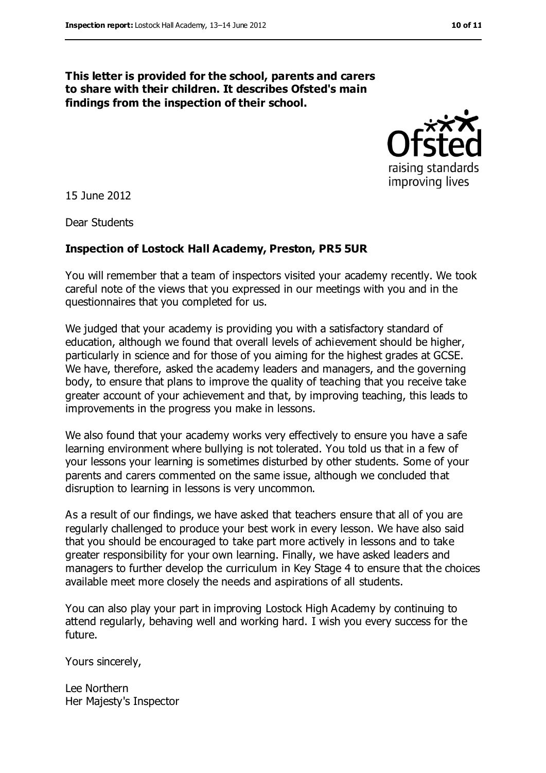#### **This letter is provided for the school, parents and carers to share with their children. It describes Ofsted's main findings from the inspection of their school.**



15 June 2012

Dear Students

#### **Inspection of Lostock Hall Academy, Preston, PR5 5UR**

You will remember that a team of inspectors visited your academy recently. We took careful note of the views that you expressed in our meetings with you and in the questionnaires that you completed for us.

We judged that your academy is providing you with a satisfactory standard of education, although we found that overall levels of achievement should be higher, particularly in science and for those of you aiming for the highest grades at GCSE. We have, therefore, asked the academy leaders and managers, and the governing body, to ensure that plans to improve the quality of teaching that you receive take greater account of your achievement and that, by improving teaching, this leads to improvements in the progress you make in lessons.

We also found that your academy works very effectively to ensure you have a safe learning environment where bullying is not tolerated. You told us that in a few of your lessons your learning is sometimes disturbed by other students. Some of your parents and carers commented on the same issue, although we concluded that disruption to learning in lessons is very uncommon.

As a result of our findings, we have asked that teachers ensure that all of you are regularly challenged to produce your best work in every lesson. We have also said that you should be encouraged to take part more actively in lessons and to take greater responsibility for your own learning. Finally, we have asked leaders and managers to further develop the curriculum in Key Stage 4 to ensure that the choices available meet more closely the needs and aspirations of all students.

You can also play your part in improving Lostock High Academy by continuing to attend regularly, behaving well and working hard. I wish you every success for the future.

Yours sincerely,

Lee Northern Her Majesty's Inspector